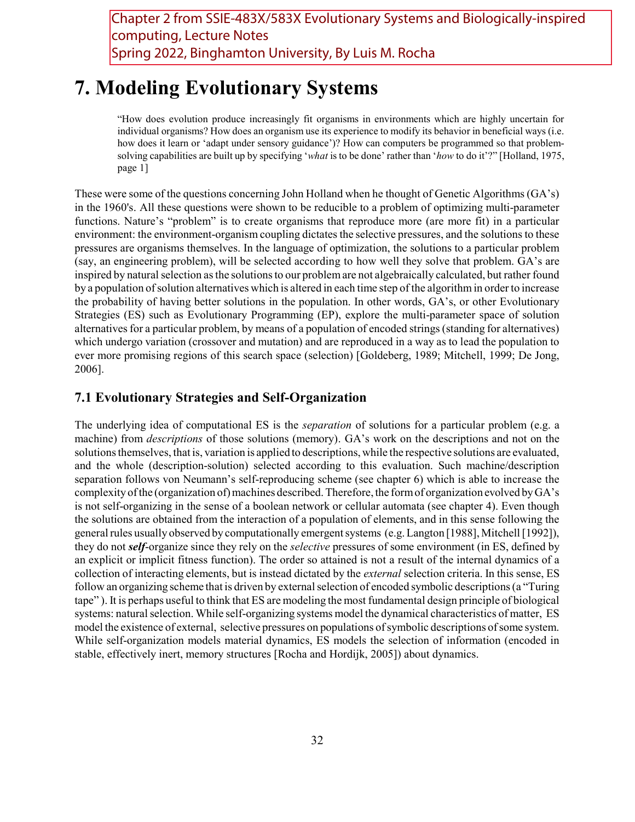Chapter 2 from SSIE-483X/583X Evolutionary Systems and Biologically-inspired computing, Lecture Notes Spring 2022, Binghamton University, By Luis M. Rocha

# 7. Modeling Evolutionary Systems

"How does evolution produce increasingly fit organisms in environments which are highly uncertain for individual organisms? How does an organism use its experience to modify its behavior in beneficial ways (i.e. how does it learn or 'adapt under sensory guidance')? How can computers be programmed so that problemsolving capabilities are built up by specifying 'what is to be done' rather than 'how to do it'?" [Holland, 1975, page 1]

These were some of the questions concerning John Holland when he thought of Genetic Algorithms (GA's) in the 1960's. All these questions were shown to be reducible to a problem of optimizing multi-parameter functions. Nature's "problem" is to create organisms that reproduce more (are more fit) in a particular environment: the environment-organism coupling dictates the selective pressures, and the solutions to these pressures are organisms themselves. In the language of optimization, the solutions to a particular problem (say, an engineering problem), will be selected according to how well they solve that problem. GA's are inspired by natural selection as the solutions to our problem are not algebraically calculated, but rather found by a population of solution alternatives which is altered in each time step of the algorithm in order to increase the probability of having better solutions in the population. In other words, GA's, or other Evolutionary Strategies (ES) such as Evolutionary Programming (EP), explore the multi-parameter space of solution alternatives for a particular problem, by means of a population of encoded strings (standing for alternatives) which undergo variation (crossover and mutation) and are reproduced in a way as to lead the population to ever more promising regions of this search space (selection) [Goldeberg, 1989; Mitchell, 1999; De Jong, 2006].

## 7.1 Evolutionary Strategies and Self-Organization

The underlying idea of computational ES is the *separation* of solutions for a particular problem (e.g. a machine) from *descriptions* of those solutions (memory). GA's work on the descriptions and not on the solutions themselves, that is, variation is applied to descriptions, while the respective solutions are evaluated, and the whole (description-solution) selected according to this evaluation. Such machine/description separation follows von Neumann's self-reproducing scheme (see chapter 6) which is able to increase the complexity of the (organization of) machines described. Therefore, the form of organization evolved by GA's is not self-organizing in the sense of a boolean network or cellular automata (see chapter 4). Even though the solutions are obtained from the interaction of a population of elements, and in this sense following the general rules usually observed by computationally emergent systems (e.g. Langton [1988], Mitchell [1992]), they do not *self*-organize since they rely on the *selective* pressures of some environment (in ES, defined by an explicit or implicit fitness function). The order so attained is not a result of the internal dynamics of a collection of interacting elements, but is instead dictated by the external selection criteria. In this sense, ES follow an organizing scheme that is driven by external selection of encoded symbolic descriptions (a "Turing tape" ). It is perhaps useful to think that ES are modeling the most fundamental design principle of biological systems: natural selection. While self-organizing systems model the dynamical characteristics of matter, ES model the existence of external, selective pressures on populations of symbolic descriptions of some system. While self-organization models material dynamics, ES models the selection of information (encoded in stable, effectively inert, memory structures [Rocha and Hordijk, 2005]) about dynamics.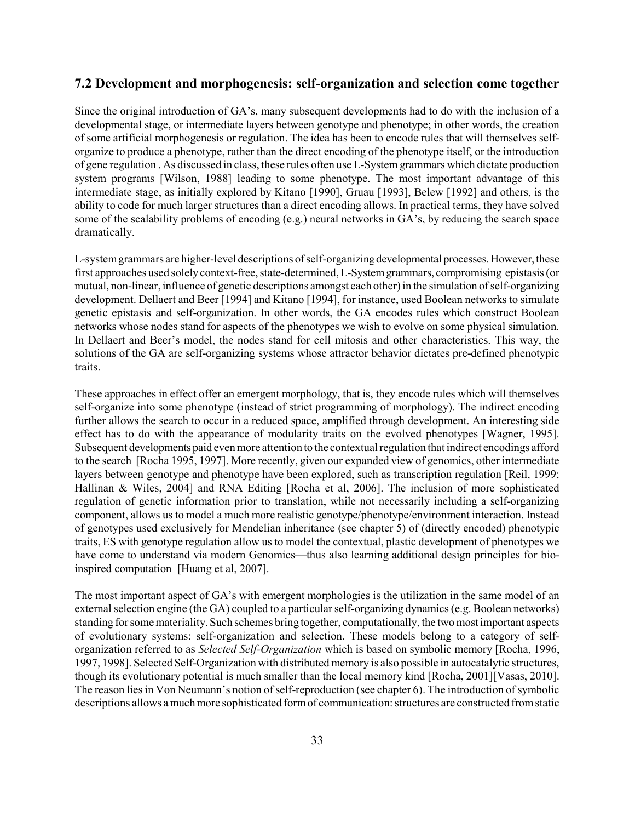## 7.2 Development and morphogenesis: self-organization and selection come together

Since the original introduction of GA's, many subsequent developments had to do with the inclusion of a developmental stage, or intermediate layers between genotype and phenotype; in other words, the creation of some artificial morphogenesis or regulation. The idea has been to encode rules that will themselves selforganize to produce a phenotype, rather than the direct encoding of the phenotype itself, or the introduction of gene regulation . As discussed in class, these rules often use L-System grammars which dictate production system programs [Wilson, 1988] leading to some phenotype. The most important advantage of this intermediate stage, as initially explored by Kitano [1990], Gruau [1993], Belew [1992] and others, is the ability to code for much larger structures than a direct encoding allows. In practical terms, they have solved some of the scalability problems of encoding (e.g.) neural networks in GA's, by reducing the search space dramatically.

L-system grammars are higher-level descriptions of self-organizing developmental processes. However, these first approaches used solely context-free, state-determined, L-System grammars, compromising epistasis (or mutual, non-linear, influence of genetic descriptions amongst each other) in the simulation of self-organizing development. Dellaert and Beer [1994] and Kitano [1994], for instance, used Boolean networks to simulate genetic epistasis and self-organization. In other words, the GA encodes rules which construct Boolean networks whose nodes stand for aspects of the phenotypes we wish to evolve on some physical simulation. In Dellaert and Beer's model, the nodes stand for cell mitosis and other characteristics. This way, the solutions of the GA are self-organizing systems whose attractor behavior dictates pre-defined phenotypic traits.

These approaches in effect offer an emergent morphology, that is, they encode rules which will themselves self-organize into some phenotype (instead of strict programming of morphology). The indirect encoding further allows the search to occur in a reduced space, amplified through development. An interesting side effect has to do with the appearance of modularity traits on the evolved phenotypes [Wagner, 1995]. Subsequent developments paid even more attention to the contextual regulation that indirect encodings afford to the search [Rocha 1995, 1997]. More recently, given our expanded view of genomics, other intermediate layers between genotype and phenotype have been explored, such as transcription regulation [Reil, 1999; Hallinan & Wiles, 2004] and RNA Editing [Rocha et al, 2006]. The inclusion of more sophisticated regulation of genetic information prior to translation, while not necessarily including a self-organizing component, allows us to model a much more realistic genotype/phenotype/environment interaction. Instead of genotypes used exclusively for Mendelian inheritance (see chapter 5) of (directly encoded) phenotypic traits, ES with genotype regulation allow us to model the contextual, plastic development of phenotypes we have come to understand via modern Genomics—thus also learning additional design principles for bioinspired computation [Huang et al, 2007].

The most important aspect of GA's with emergent morphologies is the utilization in the same model of an external selection engine (the GA) coupled to a particular self-organizing dynamics (e.g. Boolean networks) standing for some materiality. Such schemes bring together, computationally, the two most important aspects of evolutionary systems: self-organization and selection. These models belong to a category of selforganization referred to as Selected Self-Organization which is based on symbolic memory [Rocha, 1996, 1997, 1998]. Selected Self-Organization with distributed memory is also possible in autocatalytic structures, though its evolutionary potential is much smaller than the local memory kind [Rocha, 2001][Vasas, 2010]. The reason lies in Von Neumann's notion of self-reproduction (see chapter 6). The introduction of symbolic descriptions allows a much more sophisticated form of communication: structures are constructed from static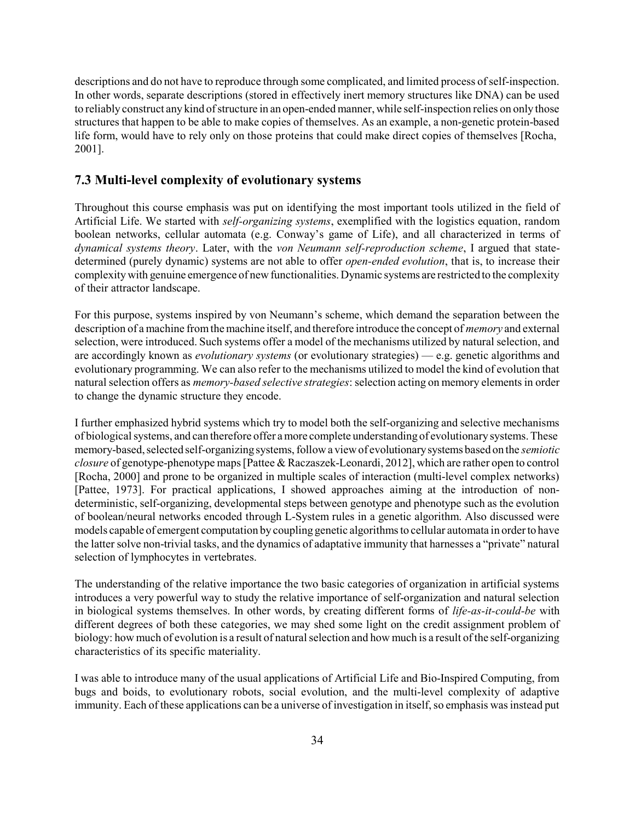descriptions and do not have to reproduce through some complicated, and limited process of self-inspection. In other words, separate descriptions (stored in effectively inert memory structures like DNA) can be used to reliably construct any kind of structure in an open-ended manner, while self-inspection relies on only those structures that happen to be able to make copies of themselves. As an example, a non-genetic protein-based life form, would have to rely only on those proteins that could make direct copies of themselves [Rocha, 2001].

### 7.3 Multi-level complexity of evolutionary systems

Throughout this course emphasis was put on identifying the most important tools utilized in the field of Artificial Life. We started with self-organizing systems, exemplified with the logistics equation, random boolean networks, cellular automata (e.g. Conway's game of Life), and all characterized in terms of dynamical systems theory. Later, with the von Neumann self-reproduction scheme, I argued that statedetermined (purely dynamic) systems are not able to offer *open-ended evolution*, that is, to increase their complexity with genuine emergence of new functionalities. Dynamic systems are restricted to the complexity of their attractor landscape.

For this purpose, systems inspired by von Neumann's scheme, which demand the separation between the description of a machine from the machine itself, and therefore introduce the concept of *memory* and external selection, were introduced. Such systems offer a model of the mechanisms utilized by natural selection, and are accordingly known as evolutionary systems (or evolutionary strategies) — e.g. genetic algorithms and evolutionary programming. We can also refer to the mechanisms utilized to model the kind of evolution that natural selection offers as memory-based selective strategies: selection acting on memory elements in order to change the dynamic structure they encode.

I further emphasized hybrid systems which try to model both the self-organizing and selective mechanisms of biological systems, and can therefore offer a more complete understanding of evolutionary systems. These memory-based, selected self-organizing systems, follow a view of evolutionary systems based on the semiotic closure of genotype-phenotype maps [Pattee & Raczaszek-Leonardi, 2012], which are rather open to control [Rocha, 2000] and prone to be organized in multiple scales of interaction (multi-level complex networks) [Pattee, 1973]. For practical applications, I showed approaches aiming at the introduction of nondeterministic, self-organizing, developmental steps between genotype and phenotype such as the evolution of boolean/neural networks encoded through L-System rules in a genetic algorithm. Also discussed were models capable of emergent computation by coupling genetic algorithms to cellular automata in order to have the latter solve non-trivial tasks, and the dynamics of adaptative immunity that harnesses a "private" natural selection of lymphocytes in vertebrates.

The understanding of the relative importance the two basic categories of organization in artificial systems introduces a very powerful way to study the relative importance of self-organization and natural selection in biological systems themselves. In other words, by creating different forms of life-as-it-could-be with different degrees of both these categories, we may shed some light on the credit assignment problem of biology: how much of evolution is a result of natural selection and how much is a result of the self-organizing characteristics of its specific materiality.

I was able to introduce many of the usual applications of Artificial Life and Bio-Inspired Computing, from bugs and boids, to evolutionary robots, social evolution, and the multi-level complexity of adaptive immunity. Each of these applications can be a universe of investigation in itself, so emphasis was instead put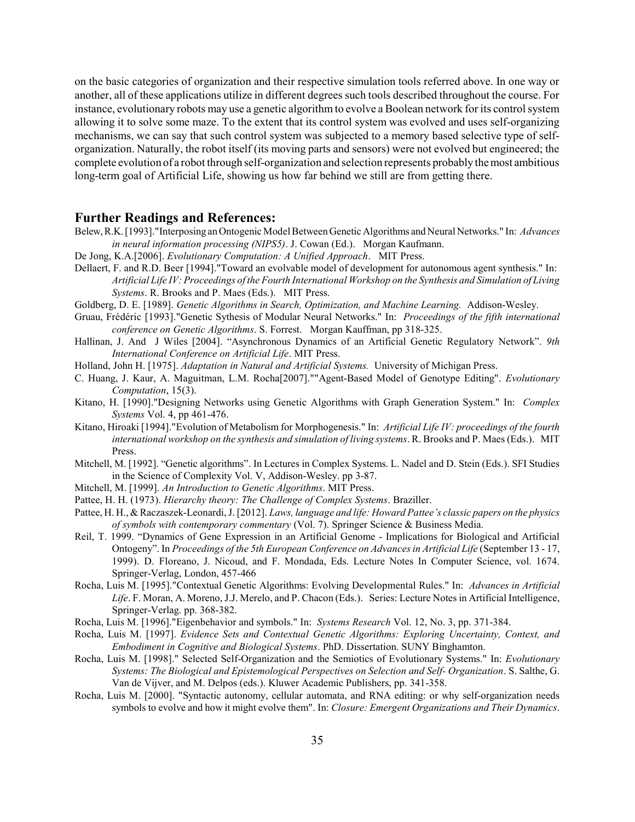on the basic categories of organization and their respective simulation tools referred above. In one way or another, all of these applications utilize in different degrees such tools described throughout the course. For instance, evolutionary robots may use a genetic algorithm to evolve a Boolean network for its control system allowing it to solve some maze. To the extent that its control system was evolved and uses self-organizing mechanisms, we can say that such control system was subjected to a memory based selective type of selforganization. Naturally, the robot itself (its moving parts and sensors) were not evolved but engineered; the complete evolution of a robot through self-organization and selection represents probably the most ambitious long-term goal of Artificial Life, showing us how far behind we still are from getting there.

#### Further Readings and References:

- Belew, R.K. [1993]."Interposing an Ontogenic Model Between Genetic Algorithms and Neural Networks." In: Advances in neural information processing (NIPS5). J. Cowan (Ed.). Morgan Kaufmann.
- De Jong, K.A.[2006]. Evolutionary Computation: A Unified Approach. MIT Press.
- Dellaert, F. and R.D. Beer [1994]."Toward an evolvable model of development for autonomous agent synthesis." In: Artificial Life IV: Proceedings of the Fourth International Workshop on the Synthesis and Simulation of Living Systems. R. Brooks and P. Maes (Eds.). MIT Press.
- Goldberg, D. E. [1989]. Genetic Algorithms in Search, Optimization, and Machine Learning. Addison-Wesley.
- Gruau, Frédéric [1993]."Genetic Sythesis of Modular Neural Networks." In: Proceedings of the fifth international conference on Genetic Algorithms. S. Forrest. Morgan Kauffman, pp 318-325.
- Hallinan, J. And J Wiles [2004]. "Asynchronous Dynamics of an Artificial Genetic Regulatory Network". 9th International Conference on Artificial Life. MIT Press.
- Holland, John H. [1975]. Adaptation in Natural and Artificial Systems. University of Michigan Press.
- C. Huang, J. Kaur, A. Maguitman, L.M. Rocha[2007].""Agent-Based Model of Genotype Editing". Evolutionary Computation, 15(3).
- Kitano, H. [1990]."Designing Networks using Genetic Algorithms with Graph Generation System." In: Complex Systems Vol. 4, pp 461-476.
- Kitano, Hiroaki [1994]. "Evolution of Metabolism for Morphogenesis." In: Artificial Life IV: proceedings of the fourth international workshop on the synthesis and simulation of living systems. R. Brooks and P. Maes (Eds.). MIT Press.
- Mitchell, M. [1992]. "Genetic algorithms". In Lectures in Complex Systems. L. Nadel and D. Stein (Eds.). SFI Studies in the Science of Complexity Vol. V, Addison-Wesley. pp 3-87.
- Mitchell, M. [1999]. An Introduction to Genetic Algorithms. MIT Press.
- Pattee, H. H. (1973). Hierarchy theory: The Challenge of Complex Systems. Braziller.
- Pattee, H. H., & Raczaszek-Leonardi, J. [2012]. Laws, language and life: Howard Pattee's classic papers on the physics of symbols with contemporary commentary (Vol. 7). Springer Science & Business Media.
- Reil, T. 1999. "Dynamics of Gene Expression in an Artificial Genome Implications for Biological and Artificial Ontogeny". In Proceedings of the 5th European Conference on Advances in Artificial Life (September 13 - 17, 1999). D. Floreano, J. Nicoud, and F. Mondada, Eds. Lecture Notes In Computer Science, vol. 1674. Springer-Verlag, London, 457-466
- Rocha, Luis M. [1995]."Contextual Genetic Algorithms: Evolving Developmental Rules." In: Advances in Artificial Life. F. Moran, A. Moreno, J.J. Merelo, and P. Chacon (Eds.). Series: Lecture Notes in Artificial Intelligence, Springer-Verlag. pp. 368-382.
- Rocha, Luis M. [1996]."Eigenbehavior and symbols." In: Systems Research Vol. 12, No. 3, pp. 371-384.
- Rocha, Luis M. [1997]. Evidence Sets and Contextual Genetic Algorithms: Exploring Uncertainty, Context, and Embodiment in Cognitive and Biological Systems. PhD. Dissertation. SUNY Binghamton.
- Rocha, Luis M. [1998]." Selected Self-Organization and the Semiotics of Evolutionary Systems." In: Evolutionary Systems: The Biological and Epistemological Perspectives on Selection and Self- Organization. S. Salthe, G. Van de Vijver, and M. Delpos (eds.). Kluwer Academic Publishers, pp. 341-358.
- Rocha, Luis M. [2000]. "Syntactic autonomy, cellular automata, and RNA editing: or why self-organization needs symbols to evolve and how it might evolve them". In: Closure: Emergent Organizations and Their Dynamics.